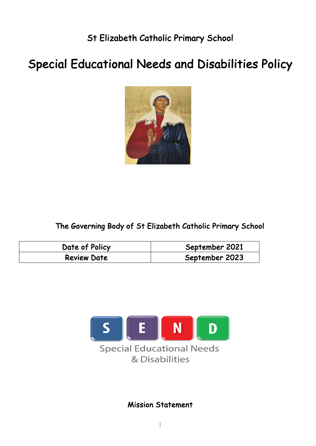St Elizabeth Catholic Primary School

# Special Educational Needs and Disabilities Policy



The Governing Body of St Elizabeth Catholic Primary School

| Date of Policy     | September 2021 |
|--------------------|----------------|
| <b>Review Date</b> | September 2023 |



Mission Statement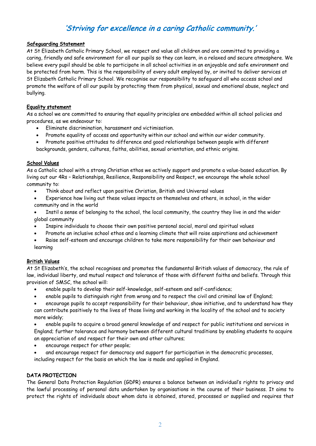# 'Striving for excellence in a caring Catholic community.'

#### Safeguarding Statement

At St Elizabeth Catholic Primary School, we respect and value all children and are committed to providing a caring, friendly and safe environment for all our pupils so they can learn, in a relaxed and secure atmosphere. We believe every pupil should be able to participate in all school activities in an enjoyable and safe environment and be protected from harm. This is the responsibility of every adult employed by, or invited to deliver services at St Elizabeth Catholic Primary School. We recognise our responsibility to safeguard all who access school and promote the welfare of all our pupils by protecting them from physical, sexual and emotional abuse, neglect and bullying.

#### Equality statement

As a school we are committed to ensuring that equality principles are embedded within all school policies and procedures, as we endeavour to:

- Eliminate discrimination, harassment and victimisation.
- Promote equality of access and opportunity within our school and within our wider community.
- Promote positive attitudes to difference and good relationships between people with different backgrounds, genders, cultures, faiths, abilities, sexual orientation, and ethnic origins.

#### School Values

As a Catholic school with a strong Christian ethos we actively support and promote a value-based education. By living out our 4Rs – Relationships, Resilience, Responsibility and Respect, we encourage the whole school community to:

• Think about and reflect upon positive Christian, British and Universal values

• Experience how living out these values impacts on themselves and others, in school, in the wider community and in the world

- Instil a sense of belonging to the school, the local community, the country they live in and the wider global community
- Inspire individuals to choose their own positive personal social, moral and spiritual values
- Promote an inclusive school ethos and a learning climate that will raise aspirations and achievement
- Raise self-esteem and encourage children to take more responsibility for their own behaviour and learning

#### British Values

At St Elizabeth's, the school recognises and promotes the fundamental British values of democracy, the rule of law, individual liberty, and mutual respect and tolerance of those with different faiths and beliefs. Through this provision of SMSC, the school will:

- enable pupils to develop their self-knowledge, self-esteem and self-confidence;
- enable pupils to distinguish right from wrong and to respect the civil and criminal law of England;
- encourage pupils to accept responsibility for their behaviour, show initiative, and to understand how they can contribute positively to the lives of those living and working in the locality of the school and to society more widely;

• enable pupils to acquire a broad general knowledge of and respect for public institutions and services in England; further tolerance and harmony between different cultural traditions by enabling students to acquire an appreciation of and respect for their own and other cultures;

- encourage respect for other people;
- and encourage respect for democracy and support for participation in the democratic processes, including respect for the basis on which the law is made and applied in England.

#### DATA PROTECTION

The General Data Protection Regulation (GDPR) ensures a balance between an individual's rights to privacy and the lawful processing of personal data undertaken by organisations in the course of their business. It aims to protect the rights of individuals about whom data is obtained, stored, processed or supplied and requires that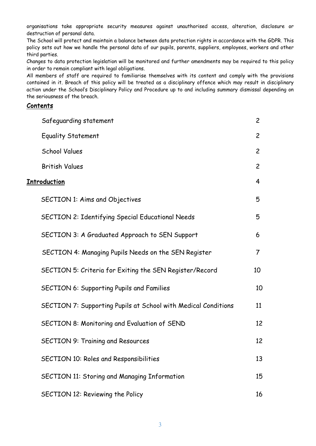organisations take appropriate security measures against unauthorised access, alteration, disclosure or destruction of personal data.

The School will protect and maintain a balance between data protection rights in accordance with the GDPR. This policy sets out how we handle the personal data of our pupils, parents, suppliers, employees, workers and other third parties.

Changes to data protection legislation will be monitored and further amendments may be required to this policy in order to remain compliant with legal obligations.

All members of staff are required to familiarise themselves with its content and comply with the provisions contained in it. Breach of this policy will be treated as a disciplinary offence which may result in disciplinary action under the School's Disciplinary Policy and Procedure up to and including summary dismissal depending on the seriousness of the breach.

#### **Contents**

|                      | Safeguarding statement                                         | $\overline{c}$ |
|----------------------|----------------------------------------------------------------|----------------|
|                      | <b>Equality Statement</b>                                      | $\overline{2}$ |
|                      | <b>School Values</b>                                           | $\overline{2}$ |
|                      | <b>British Values</b>                                          | $\overline{2}$ |
| <u> Introduction</u> |                                                                |                |
|                      | <b>SECTION 1: Aims and Objectives</b>                          | 5              |
|                      | <b>SECTION 2: Identifying Special Educational Needs</b>        | 5              |
|                      | SECTION 3: A Graduated Approach to SEN Support                 | 6              |
|                      | SECTION 4: Managing Pupils Needs on the SEN Register           | $\overline{7}$ |
|                      | SECTION 5: Criteria for Exiting the SEN Register/Record        | 10             |
|                      | <b>SECTION 6: Supporting Pupils and Families</b>               | 10             |
|                      | SECTION 7: Supporting Pupils at School with Medical Conditions | 11             |
|                      | SECTION 8: Monitoring and Evaluation of SEND                   | 12             |
|                      | <b>SECTION 9: Training and Resources</b>                       | 12             |
|                      | SECTION 10: Roles and Responsibilities                         | 13             |
|                      | <b>SECTION 11: Storing and Managing Information</b>            | 15             |
|                      | SECTION 12: Reviewing the Policy                               | 16             |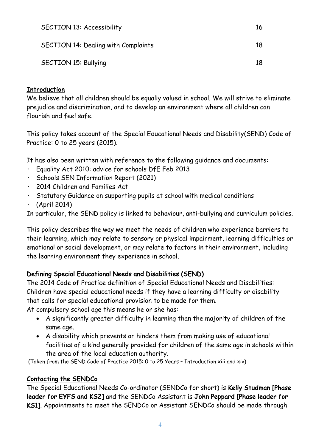| <b>SECTION 13: Accessibility</b>           | 16 |
|--------------------------------------------|----|
| <b>SECTION 14: Dealing with Complaints</b> | 18 |
| <b>SECTION 15: Bullying</b>                | 18 |

#### **Introduction**

We believe that all children should be equally valued in school. We will strive to eliminate prejudice and discrimination, and to develop an environment where all children can flourish and feel safe.

This policy takes account of the Special Educational Needs and Disability(SEND) Code of Practice: 0 to 25 years (2015).

It has also been written with reference to the following guidance and documents:

- Equality Act 2010: advice for schools DfE Feb 2013
- · Schools SEN Information Report (2021)
- · 2014 Children and Families Act
- · Statutory Guidance on supporting pupils at school with medical conditions
- · (April 2014)

In particular, the SEND policy is linked to behaviour, anti-bullying and curriculum policies.

This policy describes the way we meet the needs of children who experience barriers to their learning, which may relate to sensory or physical impairment, learning difficulties or emotional or social development, or may relate to factors in their environment, including the learning environment they experience in school.

# Defining Special Educational Needs and Disabilities (SEND)

The 2014 Code of Practice definition of Special Educational Needs and Disabilities: Children have special educational needs if they have a learning difficulty or disability that calls for special educational provision to be made for them.

At compulsory school age this means he or she has:

- A significantly greater difficulty in learning than the majority of children of the same age.
- A disability which prevents or hinders them from making use of educational facilities of a kind generally provided for children of the same age in schools within the area of the local education authority.

(Taken from the SEND Code of Practice 2015: 0 to 25 Years – Introduction xiii and xiv)

### Contacting the SENDCo

The Special Educational Needs Co-ordinator (SENDCo for short) is Kelly Studman [Phase leader for EYFS and KS2] and the SENDCo Assistant is John Peppard [Phase leader for KS1]. Appointments to meet the SENDCo or Assistant SENDCo should be made through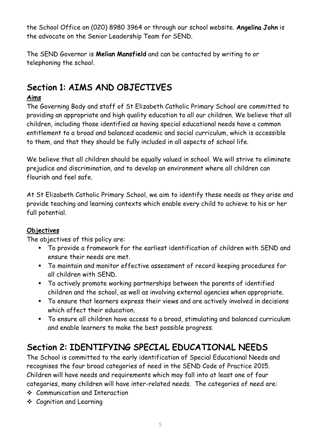the School Office on (020) 8980 3964 or through our school website. Angelina John is the advocate on the Senior Leadership Team for SEND.

The SEND Governor is Melian Mansfield and can be contacted by writing to or telephoning the school.

# Section 1: AIMS AND OBJECTIVES

# Aims

The Governing Body and staff of St Elizabeth Catholic Primary School are committed to providing an appropriate and high quality education to all our children. We believe that all children, including those identified as having special educational needs have a common entitlement to a broad and balanced academic and social curriculum, which is accessible to them, and that they should be fully included in all aspects of school life.

We believe that all children should be equally valued in school. We will strive to eliminate prejudice and discrimination, and to develop an environment where all children can flourish and feel safe.

At St Elizabeth Catholic Primary School, we aim to identify these needs as they arise and provide teaching and learning contexts which enable every child to achieve to his or her full potential.

# **Objectives**

The objectives of this policy are:

- § To provide a framework for the earliest identification of children with SEND and ensure their needs are met.
- § To maintain and monitor effective assessment of record keeping procedures for all children with SEND.
- § To actively promote working partnerships between the parents of identified children and the school, as well as involving external agencies when appropriate.
- § To ensure that learners express their views and are actively involved in decisions which affect their education.
- § To ensure all children have access to a broad, stimulating and balanced curriculum and enable learners to make the best possible progress.

# Section 2: IDENTIFYING SPECIAL EDUCATIONAL NEEDS

The School is committed to the early identification of Special Educational Needs and recognises the four broad categories of need in the SEND Code of Practice 2015. Children will have needs and requirements which may fall into at least one of four categories, many children will have inter-related needs. The categories of need are:

- v Communication and Interaction
- ❖ Cognition and Learning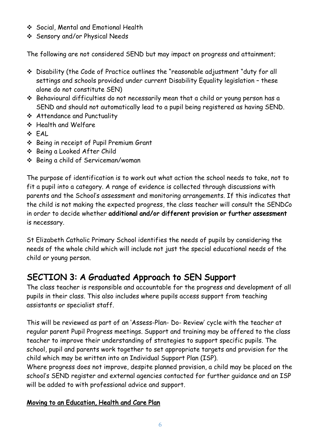- v Social, Mental and Emotional Health
- v Sensory and/or Physical Needs

The following are not considered SEND but may impact on progress and attainment;

- \* Disability (the Code of Practice outlines the "reasonable adjustment "duty for all settings and schools provided under current Disability Equality legislation – these alone do not constitute SEN)
- $\cdot$  Behavioural difficulties do not necessarily mean that a child or young person has a SEND and should not automatically lead to a pupil being registered as having SEND.
- v Attendance and Punctuality
- v Health and Welfare
- $\div$  FAL.
- v Being in receipt of Pupil Premium Grant
- v Being a Looked After Child
- **❖** Being a child of Serviceman/woman

The purpose of identification is to work out what action the school needs to take, not to fit a pupil into a category. A range of evidence is collected through discussions with parents and the School's assessment and monitoring arrangements. If this indicates that the child is not making the expected progress, the class teacher will consult the SENDCo in order to decide whether additional and/or different provision or further assessment is necessary.

St Elizabeth Catholic Primary School identifies the needs of pupils by considering the needs of the whole child which will include not just the special educational needs of the child or young person.

# SECTION 3: A Graduated Approach to SEN Support

The class teacher is responsible and accountable for the progress and development of all pupils in their class. This also includes where pupils access support from teaching assistants or specialist staff.

This will be reviewed as part of an 'Assess-Plan- Do- Review' cycle with the teacher at regular parent Pupil Progress meetings. Support and training may be offered to the class teacher to improve their understanding of strategies to support specific pupils. The school, pupil and parents work together to set appropriate targets and provision for the child which may be written into an Individual Support Plan (ISP).

Where progress does not improve, despite planned provision, a child may be placed on the school's SEND register and external agencies contacted for further guidance and an ISP will be added to with professional advice and support.

### Moving to an Education, Health and Care Plan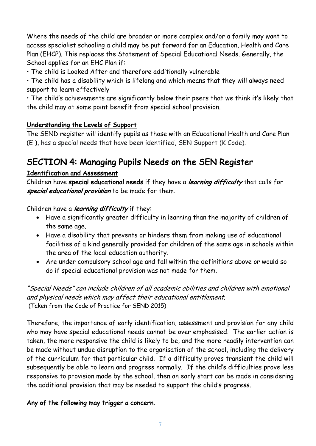Where the needs of the child are broader or more complex and/or a family may want to access specialist schooling a child may be put forward for an Education, Health and Care Plan (EHCP). This replaces the Statement of Special Educational Needs. Generally, the School applies for an EHC Plan if:

• The child is Looked After and therefore additionally vulnerable

• The child has a disability which is lifelong and which means that they will always need support to learn effectively

• The child's achievements are significantly below their peers that we think it's likely that the child may at some point benefit from special school provision.

### Understanding the Levels of Support

The SEND register will identify pupils as those with an Educational Health and Care Plan (E ), has a special needs that have been identified, SEN Support (K Code).

# SECTION 4: Managing Pupils Needs on the SEN Register

### Identification and Assessment

Children have special educational needs if they have a *learning difficulty* that calls for special educational provision to be made for them.

Children have a learning difficulty if they:

- Have a significantly greater difficulty in learning than the majority of children of the same age.
- Have a disability that prevents or hinders them from making use of educational facilities of a kind generally provided for children of the same age in schools within the area of the local education authority.
- Are under compulsory school age and fall within the definitions above or would so do if special educational provision was not made for them.

"Special Needs" can include children of all academic abilities and children with emotional and physical needs which may affect their educational entitlement. (Taken from the Code of Practice for SEND 2015)

Therefore, the importance of early identification, assessment and provision for any child who may have special educational needs cannot be over emphasised. The earlier action is taken, the more responsive the child is likely to be, and the more readily intervention can be made without undue disruption to the organisation of the school, including the delivery of the curriculum for that particular child. If a difficulty proves transient the child will subsequently be able to learn and progress normally. If the child's difficulties prove less responsive to provision made by the school, then an early start can be made in considering the additional provision that may be needed to support the child's progress.

# Any of the following may trigger a concern.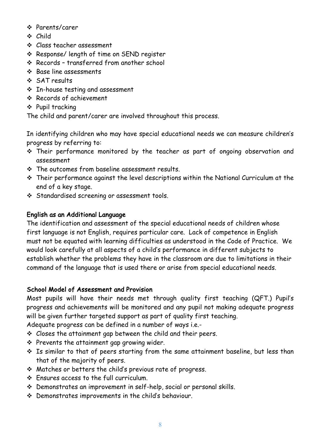- v Parents/carer
- v Child
- v Class teacher assessment
- v Response/ length of time on SEND register
- v Records transferred from another school
- v Base line assessments
- v SAT results
- $\cdot$  In-house testing and assessment
- v Records of achievement
- ❖ Pupil tracking

The child and parent/carer are involved throughout this process.

In identifying children who may have special educational needs we can measure children's progress by referring to:

- \* Their performance monitored by the teacher as part of ongoing observation and assessment
- $\div$  The outcomes from baseline assessment results.
- $\cdot$  Their performance against the level descriptions within the National Curriculum at the end of a key stage.
- v Standardised screening or assessment tools.

# English as an Additional Language

The identification and assessment of the special educational needs of children whose first language is not English, requires particular care. Lack of competence in English must not be equated with learning difficulties as understood in the Code of Practice. We would look carefully at all aspects of a child's performance in different subjects to establish whether the problems they have in the classroom are due to limitations in their command of the language that is used there or arise from special educational needs.

# School Model of Assessment and Provision

Most pupils will have their needs met through quality first teaching (QFT.) Pupil's progress and achievements will be monitored and any pupil not making adequate progress will be given further targeted support as part of quality first teaching.

Adequate progress can be defined in a number of ways i.e.-

- $\div$  Closes the attainment gap between the child and their peers.
- $\div$  Prevents the attainment gap growing wider.
- \* Is similar to that of peers starting from the same attainment baseline, but less than that of the majority of peers.
- v Matches or betters the child's previous rate of progress.
- $\div$  Ensures access to the full curriculum.
- v Demonstrates an improvement in self-help, social or personal skills.
- $\cdot$  Demonstrates improvements in the child's behaviour.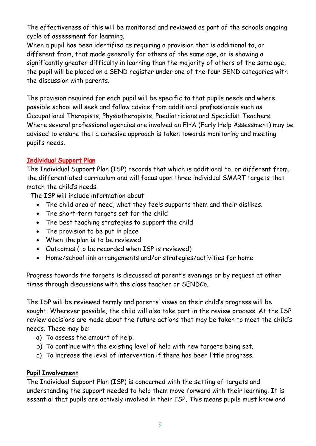The effectiveness of this will be monitored and reviewed as part of the schools ongoing cycle of assessment for learning.

When a pupil has been identified as requiring a provision that is additional to, or different from, that made generally for others of the same age, or is showing a significantly greater difficulty in learning than the majority of others of the same age, the pupil will be placed on a SEND register under one of the four SEND categories with the discussion with parents.

The provision required for each pupil will be specific to that pupils needs and where possible school will seek and follow advice from additional professionals such as Occupational Therapists, Physiotherapists, Paediatricians and Specialist Teachers. Where several professional agencies are involved an EHA (Early Help Assessment) may be advised to ensure that a cohesive approach is taken towards monitoring and meeting pupil's needs.

### Individual Support Plan

The Individual Support Plan (ISP) records that which is additional to, or different from, the differentiated curriculum and will focus upon three individual SMART targets that match the child's needs.

The ISP will include information about:

- The child area of need, what they feels supports them and their dislikes.
- The short-term targets set for the child
- The best teaching strategies to support the child
- The provision to be put in place
- When the plan is to be reviewed
- Outcomes (to be recorded when ISP is reviewed)
- Home/school link arrangements and/or strategies/activities for home

Progress towards the targets is discussed at parent's evenings or by request at other times through discussions with the class teacher or SENDCo.

The ISP will be reviewed termly and parents' views on their child's progress will be sought. Wherever possible, the child will also take part in the review process. At the ISP review decisions are made about the future actions that may be taken to meet the child's needs. These may be:

- a) To assess the amount of help.
- b) To continue with the existing level of help with new targets being set.
- c) To increase the level of intervention if there has been little progress.

### Pupil Involvement

The Individual Support Plan (ISP) is concerned with the setting of targets and understanding the support needed to help them move forward with their learning. It is essential that pupils are actively involved in their ISP. This means pupils must know and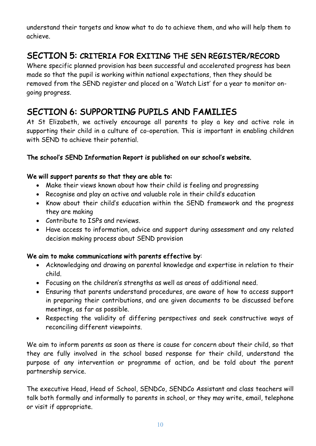understand their targets and know what to do to achieve them, and who will help them to achieve.

# SECTION 5: CRITERIA FOR EXITING THE SEN REGISTER/RECORD

Where specific planned provision has been successful and accelerated progress has been made so that the pupil is working within national expectations, then they should be removed from the SEND register and placed on a 'Watch List' for a year to monitor ongoing progress.

# SECTION 6: SUPPORTING PUPILS AND FAMILIES

At St Elizabeth, we actively encourage all parents to play a key and active role in supporting their child in a culture of co-operation. This is important in enabling children with SEND to achieve their potential.

### The school's SEND Information Report is published on our school's website.

#### We will support parents so that they are able to:

- Make their views known about how their child is feeling and progressing
- Recognise and play an active and valuable role in their child's education
- Know about their child's education within the SEND framework and the progress they are making
- Contribute to ISPs and reviews.
- Have access to information, advice and support during assessment and any related decision making process about SEND provision

#### We aim to make communications with parents effective by:

- Acknowledging and drawing on parental knowledge and expertise in relation to their child.
- Focusing on the children's strengths as well as areas of additional need.
- Ensuring that parents understand procedures, are aware of how to access support in preparing their contributions, and are given documents to be discussed before meetings, as far as possible.
- Respecting the validity of differing perspectives and seek constructive ways of reconciling different viewpoints.

We aim to inform parents as soon as there is cause for concern about their child, so that they are fully involved in the school based response for their child, understand the purpose of any intervention or programme of action, and be told about the parent partnership service.

The executive Head, Head of School, SENDCo, SENDCo Assistant and class teachers will talk both formally and informally to parents in school, or they may write, email, telephone or visit if appropriate.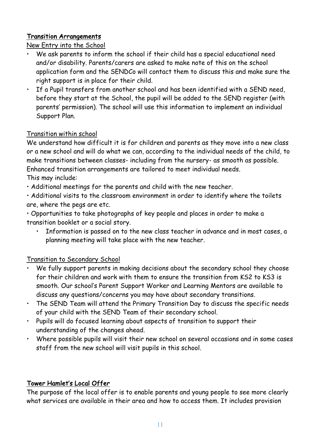### Transition Arrangements

### New Entry into the School

- We ask parents to inform the school if their child has a special educational need and/or disability. Parents/carers are asked to make note of this on the school application form and the SENDCo will contact them to discuss this and make sure the right support is in place for their child.
- If a Pupil transfers from another school and has been identified with a SEND need, before they start at the School, the pupil will be added to the SEND register (with parents' permission). The school will use this information to implement an individual Support Plan.

### Transition within school

We understand how difficult it is for children and parents as they move into a new class or a new school and will do what we can, according to the individual needs of the child, to make transitions between classes- including from the nursery- as smooth as possible. Enhanced transition arrangements are tailored to meet individual needs. This may include:

• Additional meetings for the parents and child with the new teacher.

• Additional visits to the classroom environment in order to identify where the toilets are, where the pegs are etc.

• Opportunities to take photographs of key people and places in order to make a transition booklet or a social story.

• Information is passed on to the new class teacher in advance and in most cases, a planning meeting will take place with the new teacher.

# Transition to Secondary School

- We fully support parents in making decisions about the secondary school they choose for their children and work with them to ensure the transition from KS2 to KS3 is smooth. Our school's Parent Support Worker and Learning Mentors are available to discuss any questions/concerns you may have about secondary transitions.
- The SEND Team will attend the Primary Transition Day to discuss the specific needs of your child with the SEND Team of their secondary school.
- Pupils will do focused learning about aspects of transition to support their understanding of the changes ahead.
- Where possible pupils will visit their new school on several occasions and in some cases staff from the new school will visit pupils in this school.

# Tower Hamlet's Local Offer

The purpose of the local offer is to enable parents and young people to see more clearly what services are available in their area and how to access them. It includes provision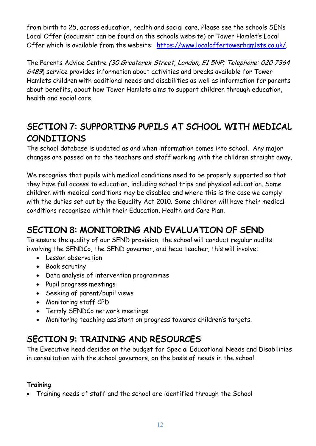from birth to 25, across education, health and social care. Please see the schools SENs Local Offer (document can be found on the schools website) or Tower Hamlet's Local Offer which is available from the website: https://www.localoffertowerhamlets.co.uk/.

The Parents Advice Centre (30 Greatorex Street, London, E1 5NP; Telephone: 020 7364 6489) service provides information about activities and breaks available for Tower Hamlets children with additional needs and disabilities as well as information for parents about benefits, about how Tower Hamlets aims to support children through education, health and social care.

# SECTION 7: SUPPORTING PUPILS AT SCHOOL WITH MEDICAL CONDITIONS

The school database is updated as and when information comes into school. Any major changes are passed on to the teachers and staff working with the children straight away.

We recognise that pupils with medical conditions need to be properly supported so that they have full access to education, including school trips and physical education. Some children with medical conditions may be disabled and where this is the case we comply with the duties set out by the Equality Act 2010. Some children will have their medical conditions recognised within their Education, Health and Care Plan.

# SECTION 8: MONITORING AND EVALUATION OF SEND

To ensure the quality of our SEND provision, the school will conduct regular audits involving the SENDCo, the SEND governor, and head teacher, this will involve:

- Lesson observation
- Book scrutiny
- Data analysis of intervention programmes
- Pupil progress meetings
- Seeking of parent/pupil views
- Monitoring staff CPD
- Termly SENDCo network meetings
- Monitoring teaching assistant on progress towards children's targets.

# SECTION 9: TRAINING AND RESOURCES

The Executive head decides on the budget for Special Educational Needs and Disabilities in consultation with the school governors, on the basis of needs in the school.

# **Training**

• Training needs of staff and the school are identified through the School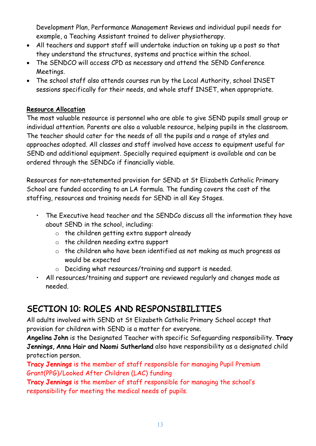Development Plan, Performance Management Reviews and individual pupil needs for example, a Teaching Assistant trained to deliver physiotherapy.

- All teachers and support staff will undertake induction on taking up a post so that they understand the structures, systems and practice within the school.
- The SENDCO will access CPD as necessary and attend the SEND Conference Meetings.
- The school staff also attends courses run by the Local Authority, school INSET sessions specifically for their needs, and whole staff INSET, when appropriate.

### Resource Allocation

The most valuable resource is personnel who are able to give SEND pupils small group or individual attention. Parents are also a valuable resource, helping pupils in the classroom. The teacher should cater for the needs of all the pupils and a range of styles and approaches adopted. All classes and staff involved have access to equipment useful for SEND and additional equipment. Specially required equipment is available and can be ordered through the SENDCo if financially viable.

Resources for non–statemented provision for SEND at St Elizabeth Catholic Primary School are funded according to an LA formula. The funding covers the cost of the staffing, resources and training needs for SEND in all Key Stages.

- The Executive head teacher and the SENDCo discuss all the information they have about SEND in the school, including:
	- o the children getting extra support already
	- o the children needing extra support
	- o the children who have been identified as not making as much progress as would be expected
	- o Deciding what resources/training and support is needed.
- All resources/training and support are reviewed regularly and changes made as needed.

# SECTION 10: ROLES AND RESPONSIBILITIES

All adults involved with SEND at St Elizabeth Catholic Primary School accept that provision for children with SEND is a matter for everyone.

Angelina John is the Designated Teacher with specific Safeguarding responsibility. Tracy Jennings, Anna Hair and Naomi Sutherland also have responsibility as a designated child protection person.

Tracy Jennings is the member of staff responsible for managing Pupil Premium Grant(PPG)/Looked After Children (LAC) funding

Tracy Jennings is the member of staff responsible for managing the school's responsibility for meeting the medical needs of pupils.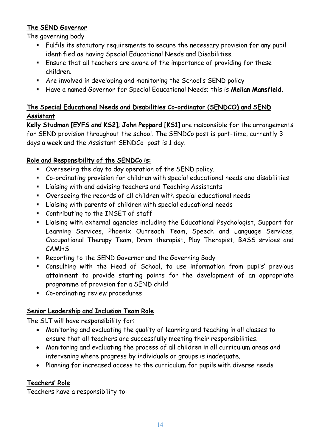# The SEND Governor

The governing body

- § Fulfils its statutory requirements to secure the necessary provision for any pupil identified as having Special Educational Needs and Disabilities.
- § Ensure that all teachers are aware of the importance of providing for these children.
- § Are involved in developing and monitoring the School's SEND policy
- **EXTED Have a named Governor for Special Educational Needs; this is Melian Mansfield.**

# The Special Educational Needs and Disabilities Co-ordinator (SENDCO) and SEND Assistant

Kelly Studman [EYFS and KS2]; John Peppard [KS1] are responsible for the arrangements for SEND provision throughout the school. The SENDCo post is part-time, currently 3 days a week and the Assistant SENDCo post is 1 day.

### Role and Responsibility of the SENDCo is:

- § Overseeing the day to day operation of the SEND policy.
- § Co-ordinating provision for children with special educational needs and disabilities
- § Liaising with and advising teachers and Teaching Assistants
- § Overseeing the records of all children with special educational needs
- § Liaising with parents of children with special educational needs
- § Contributing to the INSET of staff
- § Liaising with external agencies including the Educational Psychologist, Support for Learning Services, Phoenix Outreach Team, Speech and Language Services, Occupational Therapy Team, Dram therapist, Play Therapist, BASS srvices and CAMHS.
- § Reporting to the SEND Governor and the Governing Body
- § Consulting with the Head of School, to use information from pupils' previous attainment to provide starting points for the development of an appropriate programme of provision for a SEND child
- § Co-ordinating review procedures

### Senior Leadership and Inclusion Team Role

The SLT will have responsibility for:

- Monitoring and evaluating the quality of learning and teaching in all classes to ensure that all teachers are successfully meeting their responsibilities.
- Monitoring and evaluating the process of all children in all curriculum areas and intervening where progress by individuals or groups is inadequate.
- Planning for increased access to the curriculum for pupils with diverse needs

### Teachers' Role

Teachers have a responsibility to: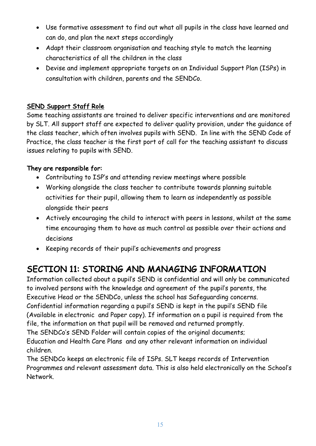- Use formative assessment to find out what all pupils in the class have learned and can do, and plan the next steps accordingly
- Adapt their classroom organisation and teaching style to match the learning characteristics of all the children in the class
- Devise and implement appropriate targets on an Individual Support Plan (ISPs) in consultation with children, parents and the SENDCo.

# SEND Support Staff Role

Some teaching assistants are trained to deliver specific interventions and are monitored by SLT. All support staff are expected to deliver quality provision, under the guidance of the class teacher, which often involves pupils with SEND. In line with the SEND Code of Practice, the class teacher is the first port of call for the teaching assistant to discuss issues relating to pupils with SEND.

#### They are responsible for:

- Contributing to ISP's and attending review meetings where possible
- Working alongside the class teacher to contribute towards planning suitable activities for their pupil, allowing them to learn as independently as possible alongside their peers
- Actively encouraging the child to interact with peers in lessons, whilst at the same time encouraging them to have as much control as possible over their actions and decisions
- Keeping records of their pupil's achievements and progress

# SECTION 11: STORING AND MANAGING INFORMATION

Information collected about a pupil's SEND is confidential and will only be communicated to involved persons with the knowledge and agreement of the pupil's parents, the Executive Head or the SENDCo, unless the school has Safeguarding concerns. Confidential information regarding a pupil's SEND is kept in the pupil's SEND file (Available in electronic and Paper copy). If information on a pupil is required from the file, the information on that pupil will be removed and returned promptly. The SENDCo's SEND Folder will contain copies of the original documents; Education and Health Care Plans and any other relevant information on individual children.

The SENDCo keeps an electronic file of ISPs. SLT keeps records of Intervention Programmes and relevant assessment data. This is also held electronically on the School's Network.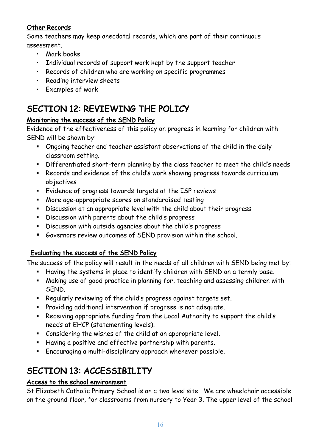# Other Records

Some teachers may keep anecdotal records, which are part of their continuous assessment.

- Mark books
- Individual records of support work kept by the support teacher
- Records of children who are working on specific programmes
- Reading interview sheets
- Examples of work

# SECTION 12: REVIEWING THE POLICY

# Monitoring the success of the SEND Policy

Evidence of the effectiveness of this policy on progress in learning for children with SEND will be shown by:

- § Ongoing teacher and teacher assistant observations of the child in the daily classroom setting.
- § Differentiated short-term planning by the class teacher to meet the child's needs
- § Records and evidence of the child's work showing progress towards curriculum objectives
- § Evidence of progress towards targets at the ISP reviews
- § More age-appropriate scores on standardised testing
- § Discussion at an appropriate level with the child about their progress
- § Discussion with parents about the child's progress
- § Discussion with outside agencies about the child's progress
- Governors review outcomes of SEND provision within the school.

# Evaluating the success of the SEND Policy

The success of the policy will result in the needs of all children with SEND being met by:

- § Having the systems in place to identify children with SEND on a termly base.
- § Making use of good practice in planning for, teaching and assessing children with SEND.
- § Regularly reviewing of the child's progress against targets set.
- § Providing additional intervention if progress is not adequate.
- § Receiving appropriate funding from the Local Authority to support the child's needs at EHCP (statementing levels).
- § Considering the wishes of the child at an appropriate level.
- § Having a positive and effective partnership with parents.
- § Encouraging a multi-disciplinary approach whenever possible.

# SECTION 13: ACCESSIBILITY

# Access to the school environment

St Elizabeth Catholic Primary School is on a two level site. We are wheelchair accessible on the ground floor, for classrooms from nursery to Year 3. The upper level of the school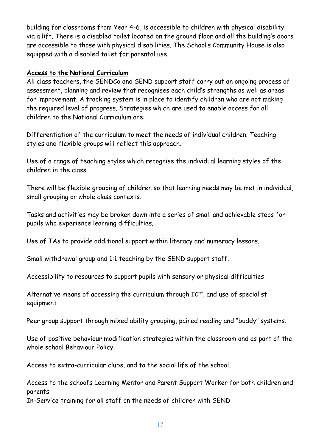building for classrooms from Year 4-6, is accessible to children with physical disability via a lift. There is a disabled toilet located on the ground floor and all the building's doors are accessible to those with physical disabilities. The School's Community House is also equipped with a disabled toilet for parental use.

#### Access to the National Curriculum

All class teachers, the SENDCo and SEND support staff carry out an ongoing process of assessment, planning and review that recognises each child's strengths as well as areas for improvement. A tracking system is in place to identify children who are not making the required level of progress. Strategies which are used to enable access for all children to the National Curriculum are:

Differentiation of the curriculum to meet the needs of individual children. Teaching styles and flexible groups will reflect this approach.

Use of a range of teaching styles which recognise the individual learning styles of the children in the class.

There will be flexible grouping of children so that learning needs may be met in individual, small grouping or whole class contexts.

Tasks and activities may be broken down into a series of small and achievable steps for pupils who experience learning difficulties.

Use of TAs to provide additional support within literacy and numeracy lessons.

Small withdrawal group and 1:1 teaching by the SEND support staff.

Accessibility to resources to support pupils with sensory or physical difficulties

Alternative means of accessing the curriculum through ICT, and use of specialist equipment

Peer group support through mixed ability grouping, paired reading and "buddy" systems.

Use of positive behaviour modification strategies within the classroom and as part of the whole school Behaviour Policy.

Access to extra-curricular clubs, and to the social life of the school.

Access to the school's Learning Mentor and Parent Support Worker for both children and parents

In-Service training for all staff on the needs of children with SEND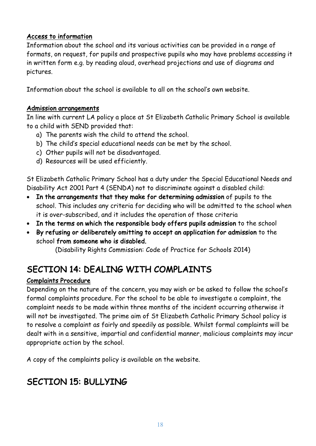### Access to information

Information about the school and its various activities can be provided in a range of formats, on request, for pupils and prospective pupils who may have problems accessing it in written form e.g. by reading aloud, overhead projections and use of diagrams and pictures.

Information about the school is available to all on the school's own website.

#### Admission arrangements

In line with current LA policy a place at St Elizabeth Catholic Primary School is available to a child with SEND provided that:

- a) The parents wish the child to attend the school.
- b) The child's special educational needs can be met by the school.
- c) Other pupils will not be disadvantaged.
- d) Resources will be used efficiently.

St Elizabeth Catholic Primary School has a duty under the Special Educational Needs and Disability Act 2001 Part 4 (SENDA) not to discriminate against a disabled child:

- In the arrangements that they make for determining admission of pupils to the school. This includes any criteria for deciding who will be admitted to the school when it is over-subscribed, and it includes the operation of those criteria
- In the terms on which the responsible body offers pupils admission to the school
- By refusing or deliberately omitting to accept an application for admission to the school from someone who is disabled.

(Disability Rights Commission: Code of Practice for Schools 2014)

# SECTION 14: DEALING WITH COMPLAINTS

### Complaints Procedure

Depending on the nature of the concern, you may wish or be asked to follow the school's formal complaints procedure. For the school to be able to investigate a complaint, the complaint needs to be made within three months of the incident occurring otherwise it will not be investigated. The prime aim of St Elizabeth Catholic Primary School policy is to resolve a complaint as fairly and speedily as possible. Whilst formal complaints will be dealt with in a sensitive, impartial and confidential manner, malicious complaints may incur appropriate action by the school.

A copy of the complaints policy is available on the website.

# SECTION 15: BULLYING